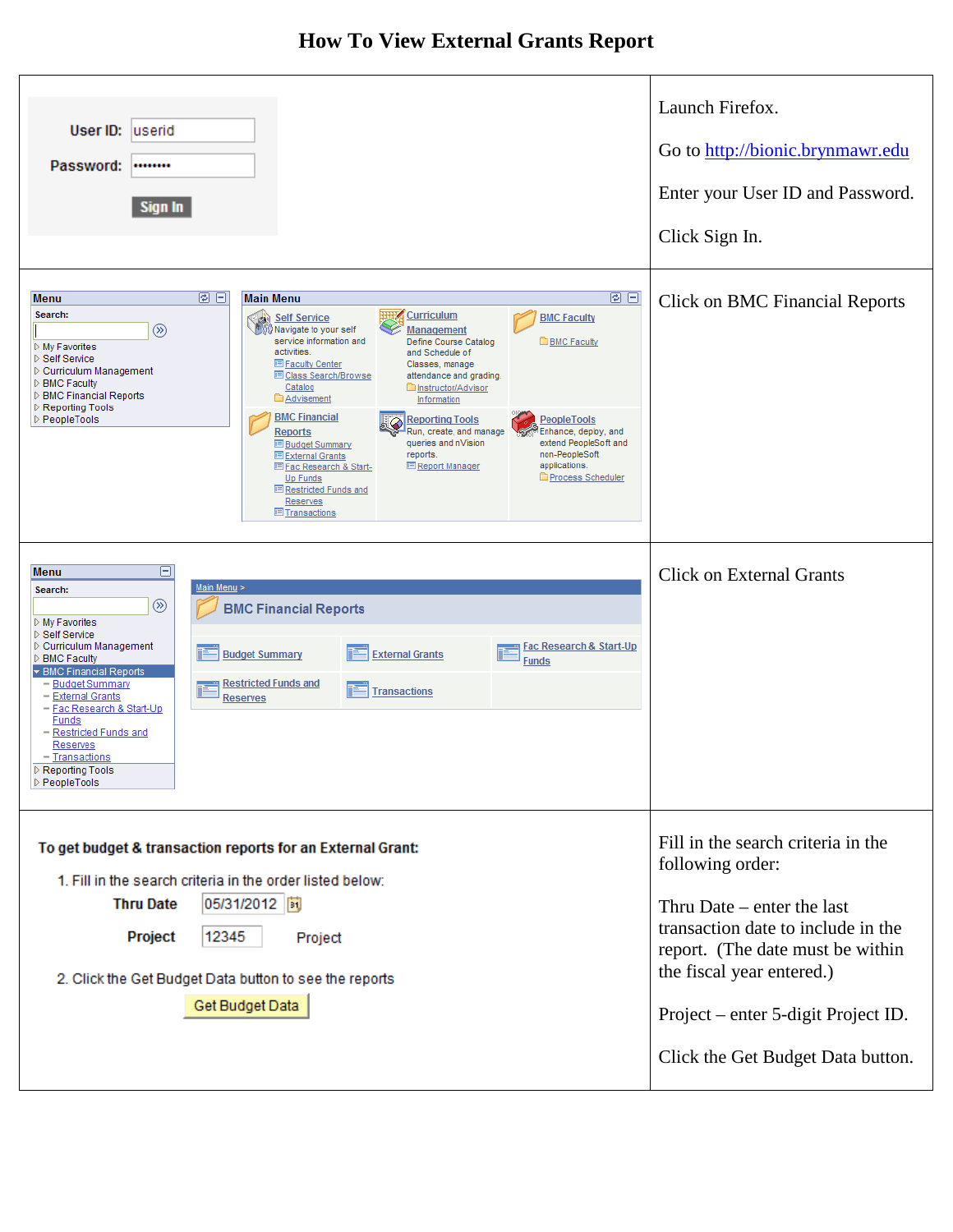## **How To View External Grants Report**

| User ID:<br>luserid<br>Password:<br><br>Sign In                                                                                                                                                                                                                                                                                                                                                                                                                                                                                                                                                                                                                                                                                                                                                                                                                                                                                                                                                                                                                                                                       | Launch Firefox.<br>Go to http://bionic.brynmawr.edu<br>Enter your User ID and Password.<br>Click Sign In.                                                                                                                                                                 |
|-----------------------------------------------------------------------------------------------------------------------------------------------------------------------------------------------------------------------------------------------------------------------------------------------------------------------------------------------------------------------------------------------------------------------------------------------------------------------------------------------------------------------------------------------------------------------------------------------------------------------------------------------------------------------------------------------------------------------------------------------------------------------------------------------------------------------------------------------------------------------------------------------------------------------------------------------------------------------------------------------------------------------------------------------------------------------------------------------------------------------|---------------------------------------------------------------------------------------------------------------------------------------------------------------------------------------------------------------------------------------------------------------------------|
| 図目<br>0 EI<br><b>Main Menu</b><br><b>Menu</b><br>Search:<br><b>HUPZ</b><br><b>Curriculum</b><br><b>Self Service</b><br><b>BMC Faculty</b><br>⊛<br>Navigate to your self<br><b>Management</b><br>service information and<br><b>BMC Faculty</b><br>Define Course Catalog<br>▷ My Favorites<br>activities.<br>and Schedule of<br>▷ Self Service<br><b>El Faculty Center</b><br>Classes, manage<br>▷ Curriculum Management<br><b>E Class Search/Browse</b><br>attendance and grading.<br><b>D</b> BMC Faculty<br>Catalog<br>Instructor/Advisor<br>▷ BMC Financial Reports<br><b>Advisement</b><br>Information<br>Reporting Tools<br><b>BMC Financial</b><br>▷ PeopleTools<br><b>Reporting Tools</b><br><b>PeopleTools</b><br>Run, create, and manage<br><b>Reports</b><br>Enhance, deploy, and<br>queries and nVision<br>extend PeopleSoft and<br><b>E</b> Budget Summary<br>reports.<br>non-PeopleSoft<br>E External Grants<br>applications.<br><b>E</b> Report Manager<br>日 Fac Research & Start-<br><b>Process Scheduler</b><br><b>Up Funds</b><br><b>E</b> Restricted Funds and<br>Reserves<br><b>El Transactions</b> | <b>Click on BMC Financial Reports</b>                                                                                                                                                                                                                                     |
| Θ.<br>Menu<br>Main Menu ><br>Search:<br>$^{\circledR}$<br><b>BMC Financial Reports</b><br>$\triangleright$ My Favorites<br>▷ Self Service<br>▷ Curriculum Management<br>Fac Research & Start-Up<br><b>External Grants</b><br><b>Budget Summary</b><br><b>D</b> BMC Faculty<br><b>Funds</b><br>▼ BMC Financial Reports<br>- Budget Summary<br><b>Restricted Funds and</b><br><b>Transactions</b><br>- External Grants<br><b>Reserves</b><br>- Fac Research & Start-Up<br><b>Funds</b><br>- Restricted Funds and<br>Reserves<br>- Transactions<br>Reporting Tools<br>PeopleTools                                                                                                                                                                                                                                                                                                                                                                                                                                                                                                                                        | <b>Click on External Grants</b>                                                                                                                                                                                                                                           |
| To get budget & transaction reports for an External Grant:<br>1. Fill in the search criteria in the order listed below:<br>05/31/2012  司<br><b>Thru Date</b><br>12345<br>Project<br>Project<br>2. Click the Get Budget Data button to see the reports<br>Get Budget Data                                                                                                                                                                                                                                                                                                                                                                                                                                                                                                                                                                                                                                                                                                                                                                                                                                              | Fill in the search criteria in the<br>following order:<br>Thru Date $-$ enter the last<br>transaction date to include in the<br>report. (The date must be within<br>the fiscal year entered.)<br>Project – enter 5-digit Project ID.<br>Click the Get Budget Data button. |